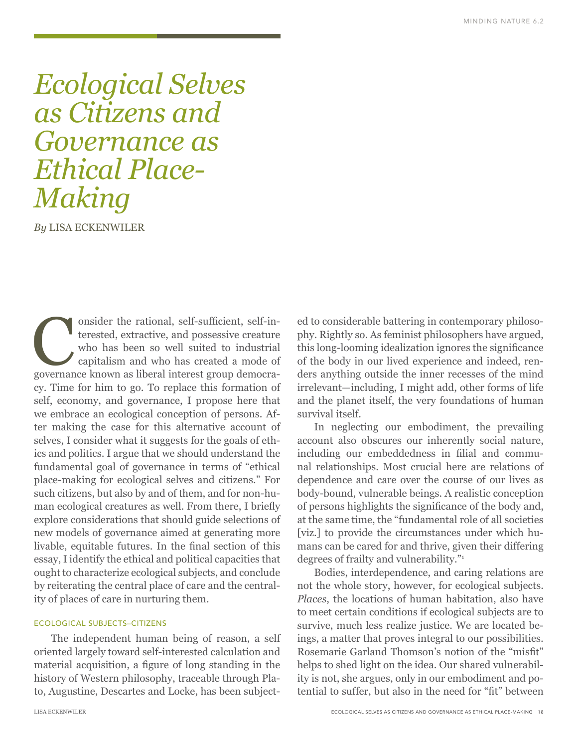# *Ecological Selves as Citizens and Governance as Ethical Place-Making*

*By* LISA ECKENWILER

onsider the rational, self-sufficient, self-in-<br>terested, extractive, and possessive creature<br>who has been so well suited to industrial<br>capitalism and who has created a mode of<br>governance known as liberal interest group de terested, extractive, and possessive creature who has been so well suited to industrial capitalism and who has created a mode of governance known as liberal interest group democracy. Time for him to go. To replace this formation of self, economy, and governance, I propose here that we embrace an ecological conception of persons. After making the case for this alternative account of selves, I consider what it suggests for the goals of ethics and politics. I argue that we should understand the fundamental goal of governance in terms of "ethical place-making for ecological selves and citizens." For such citizens, but also by and of them, and for non-human ecological creatures as well. From there, I briefly explore considerations that should guide selections of new models of governance aimed at generating more livable, equitable futures. In the final section of this essay, I identify the ethical and political capacities that ought to characterize ecological subjects, and conclude by reiterating the central place of care and the centrality of places of care in nurturing them.

#### ECOLOGICAL SUBJECTS–CITIZENS

The independent human being of reason, a self oriented largely toward self-interested calculation and material acquisition, a figure of long standing in the history of Western philosophy, traceable through Plato, Augustine, Descartes and Locke, has been subjected to considerable battering in contemporary philosophy. Rightly so. As feminist philosophers have argued, this long-looming idealization ignores the significance of the body in our lived experience and indeed, renders anything outside the inner recesses of the mind irrelevant—including, I might add, other forms of life and the planet itself, the very foundations of human survival itself.

In neglecting our embodiment, the prevailing account also obscures our inherently social nature, including our embeddedness in filial and communal relationships. Most crucial here are relations of dependence and care over the course of our lives as body-bound, vulnerable beings. A realistic conception of persons highlights the significance of the body and, at the same time, the "fundamental role of all societies [viz.] to provide the circumstances under which humans can be cared for and thrive, given their differing degrees of frailty and vulnerability."1

Bodies, interdependence, and caring relations are not the whole story, however, for ecological subjects. *Places*, the locations of human habitation, also have to meet certain conditions if ecological subjects are to survive, much less realize justice. We are located beings, a matter that proves integral to our possibilities. Rosemarie Garland Thomson's notion of the "misfit" helps to shed light on the idea. Our shared vulnerability is not, she argues, only in our embodiment and potential to suffer, but also in the need for "fit" between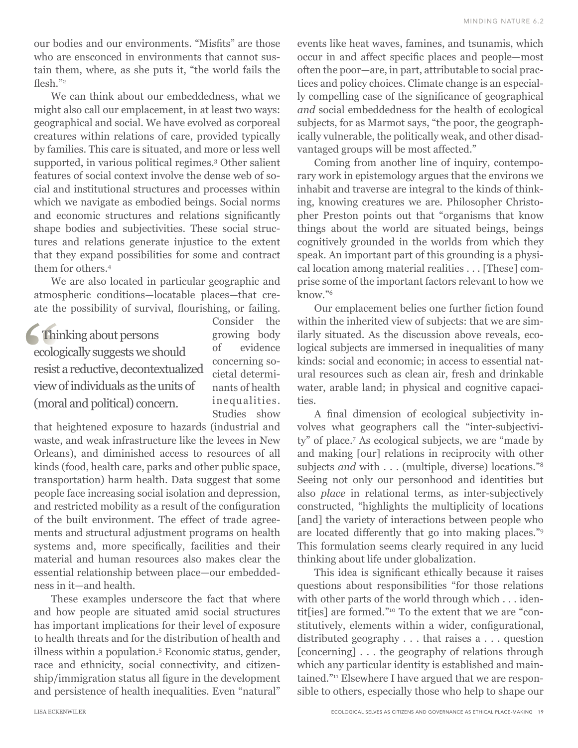our bodies and our environments. "Misfits" are those who are ensconced in environments that cannot sustain them, where, as she puts it, "the world fails the flesh."<sup>2</sup>

We can think about our embeddedness, what we might also call our emplacement, in at least two ways: geographical and social. We have evolved as corporeal creatures within relations of care, provided typically by families. This care is situated, and more or less well supported, in various political regimes.3 Other salient features of social context involve the dense web of social and institutional structures and processes within which we navigate as embodied beings. Social norms and economic structures and relations significantly shape bodies and subjectivities. These social structures and relations generate injustice to the extent that they expand possibilities for some and contract them for others.4

We are also located in particular geographic and atmospheric conditions—locatable places—that create the possibility of survival, flourishing, or failing.

# Thinking about persons ecologically suggests we should resist a reductive, decontextualized view of individuals as the units of (moral and political) concern.

Consider the growing body of evidence concerning societal determinants of health inequalities. Studies show

that heightened exposure to hazards (industrial and waste, and weak infrastructure like the levees in New Orleans), and diminished access to resources of all kinds (food, health care, parks and other public space, transportation) harm health. Data suggest that some people face increasing social isolation and depression, and restricted mobility as a result of the configuration of the built environment. The effect of trade agreements and structural adjustment programs on health systems and, more specifically, facilities and their material and human resources also makes clear the essential relationship between place—our embeddedness in it—and health.

These examples underscore the fact that where and how people are situated amid social structures has important implications for their level of exposure to health threats and for the distribution of health and illness within a population.5 Economic status, gender, race and ethnicity, social connectivity, and citizenship/immigration status all figure in the development and persistence of health inequalities. Even "natural"

events like heat waves, famines, and tsunamis, which occur in and affect specific places and people—most often the poor—are, in part, attributable to social practices and policy choices. Climate change is an especially compelling case of the significance of geographical *and* social embeddedness for the health of ecological subjects, for as Marmot says, "the poor, the geographically vulnerable, the politically weak, and other disadvantaged groups will be most affected."

Coming from another line of inquiry, contemporary work in epistemology argues that the environs we inhabit and traverse are integral to the kinds of thinking, knowing creatures we are. Philosopher Christopher Preston points out that "organisms that know things about the world are situated beings, beings cognitively grounded in the worlds from which they speak. An important part of this grounding is a physical location among material realities . . . [These] comprise some of the important factors relevant to how we know."6

Our emplacement belies one further fiction found within the inherited view of subjects: that we are similarly situated. As the discussion above reveals, ecological subjects are immersed in inequalities of many kinds: social and economic; in access to essential natural resources such as clean air, fresh and drinkable water, arable land; in physical and cognitive capacities.

A final dimension of ecological subjectivity involves what geographers call the "inter-subjectivity" of place.7 As ecological subjects, we are "made by and making [our] relations in reciprocity with other subjects *and* with . . . (multiple, diverse) locations."8 Seeing not only our personhood and identities but also *place* in relational terms, as inter-subjectively constructed, "highlights the multiplicity of locations [and] the variety of interactions between people who are located differently that go into making places."9 This formulation seems clearly required in any lucid thinking about life under globalization.

This idea is significant ethically because it raises questions about responsibilities "for those relations with other parts of the world through which . . . identit[ies] are formed."10 To the extent that we are "constitutively, elements within a wider, configurational, distributed geography . . . that raises a . . . question [concerning] . . . the geography of relations through which any particular identity is established and maintained."11 Elsewhere I have argued that we are responsible to others, especially those who help to shape our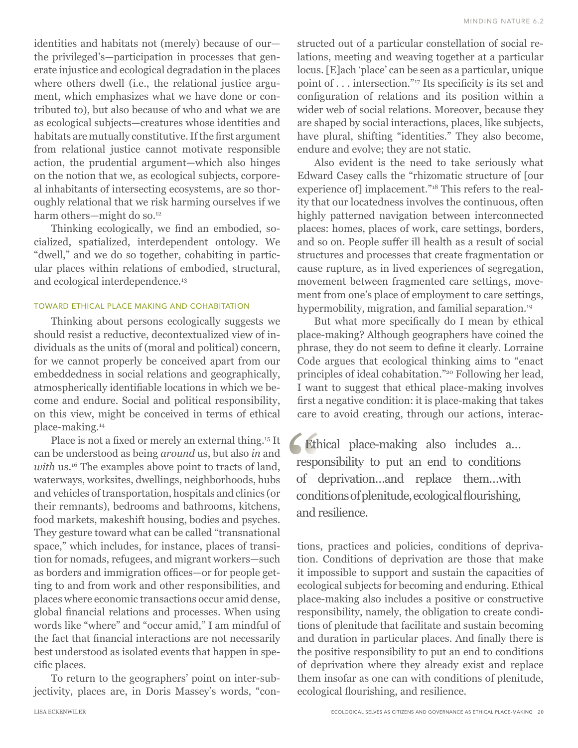identities and habitats not (merely) because of our the privileged's—participation in processes that generate injustice and ecological degradation in the places where others dwell (i.e., the relational justice argument, which emphasizes what we have done or contributed to), but also because of who and what we are as ecological subjects—creatures whose identities and habitats are mutually constitutive. If the first argument from relational justice cannot motivate responsible action, the prudential argument—which also hinges on the notion that we, as ecological subjects, corporeal inhabitants of intersecting ecosystems, are so thoroughly relational that we risk harming ourselves if we harm others—might do so.<sup>12</sup>

Thinking ecologically, we find an embodied, socialized, spatialized, interdependent ontology. We "dwell," and we do so together, cohabiting in particular places within relations of embodied, structural, and ecological interdependence.13

#### TOWARD ETHICAL PLACE MAKING AND COHABITATION

Thinking about persons ecologically suggests we should resist a reductive, decontextualized view of individuals as the units of (moral and political) concern, for we cannot properly be conceived apart from our embeddedness in social relations and geographically, atmospherically identifiable locations in which we become and endure. Social and political responsibility, on this view, might be conceived in terms of ethical place-making.14

Place is not a fixed or merely an external thing.15 It can be understood as being *around* us, but also *in* and with us.<sup>16</sup> The examples above point to tracts of land, waterways, worksites, dwellings, neighborhoods, hubs and vehicles of transportation, hospitals and clinics (or their remnants), bedrooms and bathrooms, kitchens, food markets, makeshift housing, bodies and psyches. They gesture toward what can be called "transnational space," which includes, for instance, places of transition for nomads, refugees, and migrant workers—such as borders and immigration offices—or for people getting to and from work and other responsibilities, and places where economic transactions occur amid dense, global financial relations and processes. When using words like "where" and "occur amid," I am mindful of the fact that financial interactions are not necessarily best understood as isolated events that happen in specific places.

To return to the geographers' point on inter-subjectivity, places are, in Doris Massey's words, "constructed out of a particular constellation of social relations, meeting and weaving together at a particular locus. [E]ach 'place' can be seen as a particular, unique point of . . . intersection."17 Its specificity is its set and configuration of relations and its position within a wider web of social relations. Moreover, because they are shaped by social interactions, places, like subjects, have plural, shifting "identities." They also become, endure and evolve; they are not static.

Also evident is the need to take seriously what Edward Casey calls the "rhizomatic structure of [our experience of] implacement."<sup>18</sup> This refers to the reality that our locatedness involves the continuous, often highly patterned navigation between interconnected places: homes, places of work, care settings, borders, and so on. People suffer ill health as a result of social structures and processes that create fragmentation or cause rupture, as in lived experiences of segregation, movement between fragmented care settings, movement from one's place of employment to care settings, hypermobility, migration, and familial separation.<sup>19</sup>

But what more specifically do I mean by ethical place-making? Although geographers have coined the phrase, they do not seem to define it clearly. Lorraine Code argues that ecological thinking aims to "enact principles of ideal cohabitation."20 Following her lead, I want to suggest that ethical place-making involves first a negative condition: it is place-making that takes care to avoid creating, through our actions, interac-

Ethical place-making also includes a… responsibility to put an end to conditions of deprivation…and replace them…with conditions of plenitude, ecological flourishing, and resilience.

tions, practices and policies, conditions of deprivation. Conditions of deprivation are those that make it impossible to support and sustain the capacities of ecological subjects for becoming and enduring. Ethical place-making also includes a positive or constructive responsibility, namely, the obligation to create conditions of plenitude that facilitate and sustain becoming and duration in particular places. And finally there is the positive responsibility to put an end to conditions of deprivation where they already exist and replace them insofar as one can with conditions of plenitude, ecological flourishing, and resilience.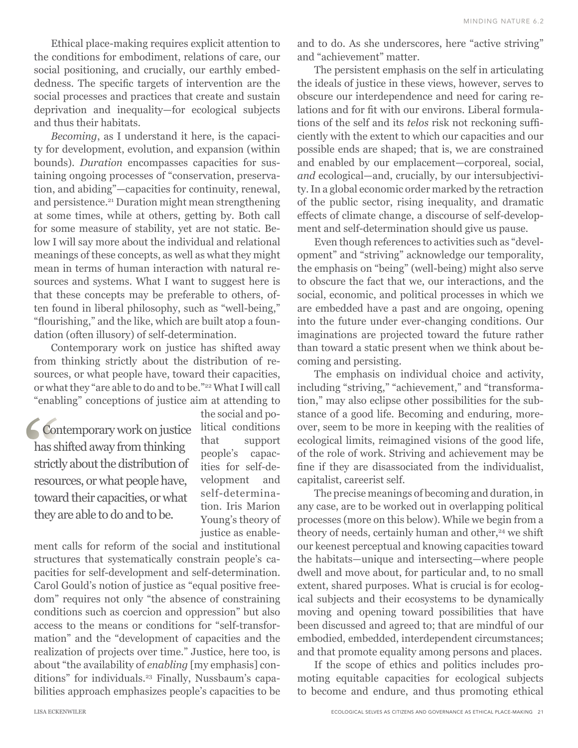Ethical place-making requires explicit attention to the conditions for embodiment, relations of care, our social positioning, and crucially, our earthly embeddedness. The specific targets of intervention are the social processes and practices that create and sustain deprivation and inequality—for ecological subjects and thus their habitats.

*Becoming*, as I understand it here, is the capacity for development, evolution, and expansion (within bounds). *Duration* encompasses capacities for sustaining ongoing processes of "conservation, preservation, and abiding"—capacities for continuity, renewal, and persistence.<sup>21</sup> Duration might mean strengthening at some times, while at others, getting by. Both call for some measure of stability, yet are not static. Below I will say more about the individual and relational meanings of these concepts, as well as what they might mean in terms of human interaction with natural resources and systems. What I want to suggest here is that these concepts may be preferable to others, often found in liberal philosophy, such as "well-being," "flourishing," and the like, which are built atop a foundation (often illusory) of self-determination.

Contemporary work on justice has shifted away from thinking strictly about the distribution of resources, or what people have, toward their capacities, or what they "are able to do and to be."22 What I will call "enabling" conceptions of justice aim at attending to

**Contemporary work on justice** has shifted away from thinking strictly about the distribution of resources, or what people have, toward their capacities, or what they are able to do and to be.

the social and political conditions that support people's capacities for self-development and self-determination. Iris Marion Young's theory of justice as enable-

ment calls for reform of the social and institutional structures that systematically constrain people's capacities for self-development and self-determination. Carol Gould's notion of justice as "equal positive freedom" requires not only "the absence of constraining conditions such as coercion and oppression" but also access to the means or conditions for "self-transformation" and the "development of capacities and the realization of projects over time." Justice, here too, is about "the availability of *enabling* [my emphasis] conditions" for individuals.<sup>23</sup> Finally, Nussbaum's capabilities approach emphasizes people's capacities to be and to do. As she underscores, here "active striving" and "achievement" matter.

The persistent emphasis on the self in articulating the ideals of justice in these views, however, serves to obscure our interdependence and need for caring relations and for fit with our environs. Liberal formulations of the self and its *telos* risk not reckoning sufficiently with the extent to which our capacities and our possible ends are shaped; that is, we are constrained and enabled by our emplacement—corporeal, social, *and* ecological—and, crucially, by our intersubjectivity. In a global economic order marked by the retraction of the public sector, rising inequality, and dramatic effects of climate change, a discourse of self-development and self-determination should give us pause.

Even though references to activities such as "development" and "striving" acknowledge our temporality, the emphasis on "being" (well-being) might also serve to obscure the fact that we, our interactions, and the social, economic, and political processes in which we are embedded have a past and are ongoing, opening into the future under ever-changing conditions. Our imaginations are projected toward the future rather than toward a static present when we think about becoming and persisting.

The emphasis on individual choice and activity, including "striving," "achievement," and "transformation," may also eclipse other possibilities for the substance of a good life. Becoming and enduring, moreover, seem to be more in keeping with the realities of ecological limits, reimagined visions of the good life, of the role of work. Striving and achievement may be fine if they are disassociated from the individualist, capitalist, careerist self.

The precise meanings of becoming and duration, in any case, are to be worked out in overlapping political processes (more on this below). While we begin from a theory of needs, certainly human and other,<sup>24</sup> we shift our keenest perceptual and knowing capacities toward the habitats—unique and intersecting—where people dwell and move about, for particular and, to no small extent, shared purposes. What is crucial is for ecological subjects and their ecosystems to be dynamically moving and opening toward possibilities that have been discussed and agreed to; that are mindful of our embodied, embedded, interdependent circumstances; and that promote equality among persons and places.

If the scope of ethics and politics includes promoting equitable capacities for ecological subjects to become and endure, and thus promoting ethical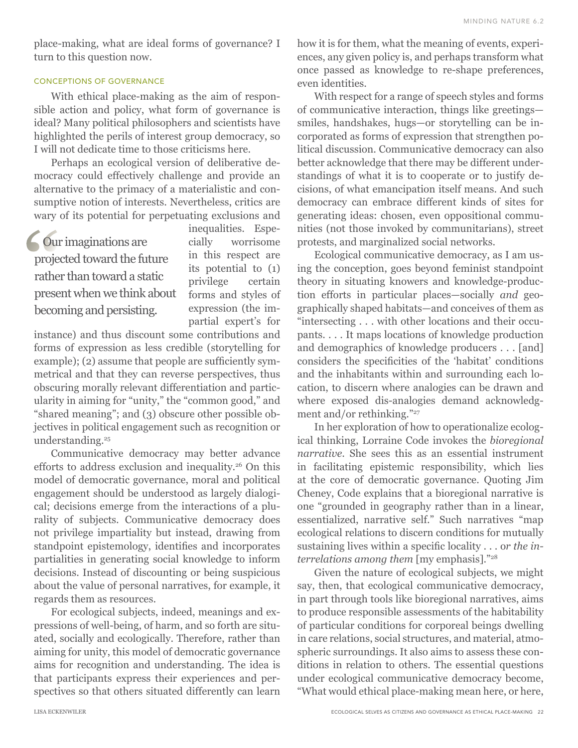place-making, what are ideal forms of governance? I turn to this question now.

## CONCEPTIONS OF GOVERNANCE

With ethical place-making as the aim of responsible action and policy, what form of governance is ideal? Many political philosophers and scientists have highlighted the perils of interest group democracy, so I will not dedicate time to those criticisms here.

Perhaps an ecological version of deliberative democracy could effectively challenge and provide an alternative to the primacy of a materialistic and consumptive notion of interests. Nevertheless, critics are wary of its potential for perpetuating exclusions and

Our imaginations are projected toward the future rather than toward a static present when we think about becoming and persisting.

inequalities. Especially worrisome in this respect are its potential to (1) privilege certain forms and styles of expression (the impartial expert's for

instance) and thus discount some contributions and forms of expression as less credible (storytelling for example); (2) assume that people are sufficiently symmetrical and that they can reverse perspectives, thus obscuring morally relevant differentiation and particularity in aiming for "unity," the "common good," and "shared meaning"; and (3) obscure other possible objectives in political engagement such as recognition or understanding.<sup>25</sup>

Communicative democracy may better advance efforts to address exclusion and inequality.26 On this model of democratic governance, moral and political engagement should be understood as largely dialogical; decisions emerge from the interactions of a plurality of subjects. Communicative democracy does not privilege impartiality but instead, drawing from standpoint epistemology, identifies and incorporates partialities in generating social knowledge to inform decisions. Instead of discounting or being suspicious about the value of personal narratives, for example, it regards them as resources.

For ecological subjects, indeed, meanings and expressions of well-being, of harm, and so forth are situated, socially and ecologically. Therefore, rather than aiming for unity, this model of democratic governance aims for recognition and understanding. The idea is that participants express their experiences and perspectives so that others situated differently can learn how it is for them, what the meaning of events, experiences, any given policy is, and perhaps transform what once passed as knowledge to re-shape preferences, even identities.

With respect for a range of speech styles and forms of communicative interaction, things like greetings smiles, handshakes, hugs—or storytelling can be incorporated as forms of expression that strengthen political discussion. Communicative democracy can also better acknowledge that there may be different understandings of what it is to cooperate or to justify decisions, of what emancipation itself means. And such democracy can embrace different kinds of sites for generating ideas: chosen, even oppositional communities (not those invoked by communitarians), street protests, and marginalized social networks.

Ecological communicative democracy, as I am using the conception, goes beyond feminist standpoint theory in situating knowers and knowledge-production efforts in particular places—socially *and* geographically shaped habitats—and conceives of them as "intersecting . . . with other locations and their occupants. . . . It maps locations of knowledge production and demographics of knowledge producers . . . [and] considers the specificities of the 'habitat' conditions and the inhabitants within and surrounding each location, to discern where analogies can be drawn and where exposed dis-analogies demand acknowledgment and/or rethinking."<sup>27</sup>

In her exploration of how to operationalize ecological thinking, Lorraine Code invokes the *bioregional narrative*. She sees this as an essential instrument in facilitating epistemic responsibility, which lies at the core of democratic governance. Quoting Jim Cheney, Code explains that a bioregional narrative is one "grounded in geography rather than in a linear, essentialized, narrative self." Such narratives "map ecological relations to discern conditions for mutually sustaining lives within a specific locality . . . o*r the interrelations among them* [my emphasis]."28

Given the nature of ecological subjects, we might say, then, that ecological communicative democracy, in part through tools like bioregional narratives, aims to produce responsible assessments of the habitability of particular conditions for corporeal beings dwelling in care relations, social structures, and material, atmospheric surroundings. It also aims to assess these conditions in relation to others. The essential questions under ecological communicative democracy become, "What would ethical place-making mean here, or here,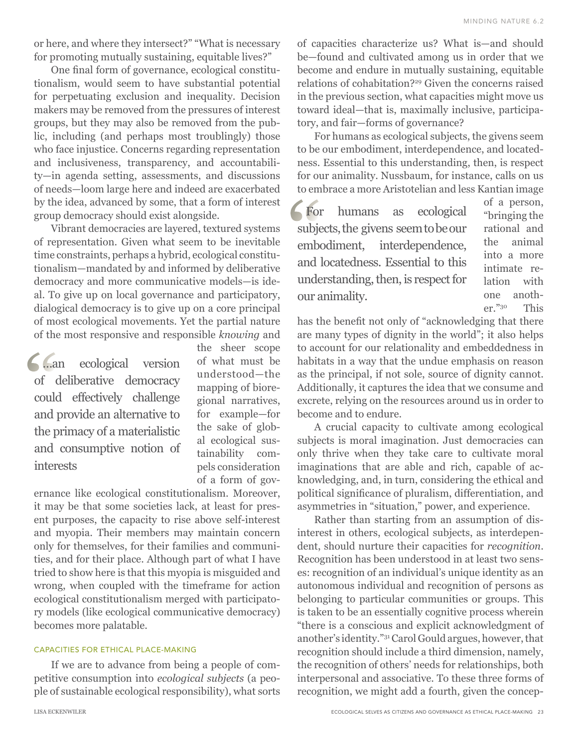or here, and where they intersect?" "What is necessary for promoting mutually sustaining, equitable lives?"

One final form of governance, ecological constitutionalism, would seem to have substantial potential for perpetuating exclusion and inequality. Decision makers may be removed from the pressures of interest groups, but they may also be removed from the public, including (and perhaps most troublingly) those who face injustice. Concerns regarding representation and inclusiveness, transparency, and accountability—in agenda setting, assessments, and discussions of needs—loom large here and indeed are exacerbated by the idea, advanced by some, that a form of interest group democracy should exist alongside.

Vibrant democracies are layered, textured systems of representation. Given what seem to be inevitable time constraints, perhaps a hybrid, ecological constitutionalism—mandated by and informed by deliberative democracy and more communicative models—is ideal. To give up on local governance and participatory, dialogical democracy is to give up on a core principal of most ecological movements. Yet the partial nature of the most responsive and responsible *knowing* and

…an ecological version of deliberative democracy could effectively challenge and provide an alternative to the primacy of a materialistic and consumptive notion of interests

the sheer scope of what must be understood—the mapping of bioregional narratives, for example—for the sake of global ecological sustainability compels consideration of a form of gov-

ernance like ecological constitutionalism. Moreover, it may be that some societies lack, at least for present purposes, the capacity to rise above self-interest and myopia. Their members may maintain concern only for themselves, for their families and communities, and for their place. Although part of what I have tried to show here is that this myopia is misguided and wrong, when coupled with the timeframe for action ecological constitutionalism merged with participatory models (like ecological communicative democracy) becomes more palatable.

### CAPACITIES FOR ETHICAL PLACE-MAKING

If we are to advance from being a people of competitive consumption into *ecological subjects* (a people of sustainable ecological responsibility), what sorts of capacities characterize us? What is—and should be—found and cultivated among us in order that we become and endure in mutually sustaining, equitable relations of cohabitation?29 Given the concerns raised in the previous section, what capacities might move us toward ideal—that is, maximally inclusive, participatory, and fair—forms of governance?

For humans as ecological subjects, the givens seem to be our embodiment, interdependence, and locatedness. Essential to this understanding, then, is respect for our animality. Nussbaum, for instance, calls on us to embrace a more Aristotelian and less Kantian image

For humans as ecological subjects, the givens seem to be our embodiment, interdependence, and locatedness. Essential to this understanding, then, is respect for our animality.

of a person, "bringing the rational and the animal into a more intimate relation with one another."30 This

has the benefit not only of "acknowledging that there are many types of dignity in the world"; it also helps to account for our relationality and embeddedness in habitats in a way that the undue emphasis on reason as the principal, if not sole, source of dignity cannot. Additionally, it captures the idea that we consume and excrete, relying on the resources around us in order to become and to endure.

A crucial capacity to cultivate among ecological subjects is moral imagination. Just democracies can only thrive when they take care to cultivate moral imaginations that are able and rich, capable of acknowledging, and, in turn, considering the ethical and political significance of pluralism, differentiation, and asymmetries in "situation," power, and experience.

Rather than starting from an assumption of disinterest in others, ecological subjects, as interdependent, should nurture their capacities for *recognition*. Recognition has been understood in at least two senses: recognition of an individual's unique identity as an autonomous individual and recognition of persons as belonging to particular communities or groups. This is taken to be an essentially cognitive process wherein "there is a conscious and explicit acknowledgment of another's identity."31 Carol Gould argues, however, that recognition should include a third dimension, namely, the recognition of others' needs for relationships, both interpersonal and associative. To these three forms of recognition, we might add a fourth, given the concep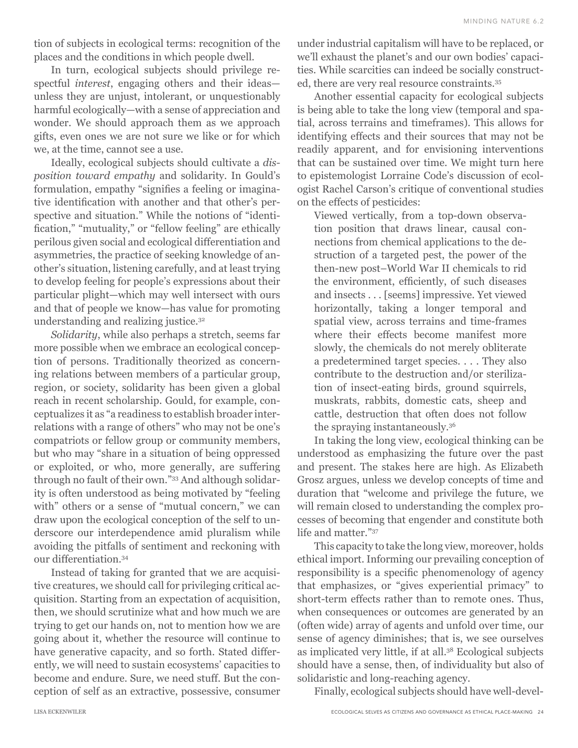tion of subjects in ecological terms: recognition of the places and the conditions in which people dwell.

In turn, ecological subjects should privilege respectful *interest*, engaging others and their ideas unless they are unjust, intolerant, or unquestionably harmful ecologically—with a sense of appreciation and wonder. We should approach them as we approach gifts, even ones we are not sure we like or for which we, at the time, cannot see a use.

Ideally, ecological subjects should cultivate a *disposition toward empathy* and solidarity. In Gould's formulation, empathy "signifies a feeling or imaginative identification with another and that other's perspective and situation." While the notions of "identification," "mutuality," or "fellow feeling" are ethically perilous given social and ecological differentiation and asymmetries, the practice of seeking knowledge of another's situation, listening carefully, and at least trying to develop feeling for people's expressions about their particular plight—which may well intersect with ours and that of people we know—has value for promoting understanding and realizing justice.32

*Solidarity*, while also perhaps a stretch, seems far more possible when we embrace an ecological conception of persons. Traditionally theorized as concerning relations between members of a particular group, region, or society, solidarity has been given a global reach in recent scholarship. Gould, for example, conceptualizes it as "a readiness to establish broader interrelations with a range of others" who may not be one's compatriots or fellow group or community members, but who may "share in a situation of being oppressed or exploited, or who, more generally, are suffering through no fault of their own."33 And although solidarity is often understood as being motivated by "feeling with" others or a sense of "mutual concern," we can draw upon the ecological conception of the self to underscore our interdependence amid pluralism while avoiding the pitfalls of sentiment and reckoning with our differentiation.34

Instead of taking for granted that we are acquisitive creatures, we should call for privileging critical acquisition. Starting from an expectation of acquisition, then, we should scrutinize what and how much we are trying to get our hands on, not to mention how we are going about it, whether the resource will continue to have generative capacity, and so forth. Stated differently, we will need to sustain ecosystems' capacities to become and endure. Sure, we need stuff. But the conception of self as an extractive, possessive, consumer under industrial capitalism will have to be replaced, or we'll exhaust the planet's and our own bodies' capacities. While scarcities can indeed be socially constructed, there are very real resource constraints.35

Another essential capacity for ecological subjects is being able to take the long view (temporal and spatial, across terrains and timeframes). This allows for identifying effects and their sources that may not be readily apparent, and for envisioning interventions that can be sustained over time. We might turn here to epistemologist Lorraine Code's discussion of ecologist Rachel Carson's critique of conventional studies on the effects of pesticides:

Viewed vertically, from a top-down observation position that draws linear, causal connections from chemical applications to the destruction of a targeted pest, the power of the then-new post–World War II chemicals to rid the environment, efficiently, of such diseases and insects . . . [seems] impressive. Yet viewed horizontally, taking a longer temporal and spatial view, across terrains and time-frames where their effects become manifest more slowly, the chemicals do not merely obliterate a predetermined target species. . . . They also contribute to the destruction and/or sterilization of insect-eating birds, ground squirrels, muskrats, rabbits, domestic cats, sheep and cattle, destruction that often does not follow the spraying instantaneously.36

In taking the long view, ecological thinking can be understood as emphasizing the future over the past and present. The stakes here are high. As Elizabeth Grosz argues, unless we develop concepts of time and duration that "welcome and privilege the future, we will remain closed to understanding the complex processes of becoming that engender and constitute both life and matter."37

This capacity to take the long view, moreover, holds ethical import. Informing our prevailing conception of responsibility is a specific phenomenology of agency that emphasizes, or "gives experiential primacy" to short-term effects rather than to remote ones. Thus, when consequences or outcomes are generated by an (often wide) array of agents and unfold over time, our sense of agency diminishes; that is, we see ourselves as implicated very little, if at all.38 Ecological subjects should have a sense, then, of individuality but also of solidaristic and long-reaching agency.

Finally, ecological subjects should have well-devel-